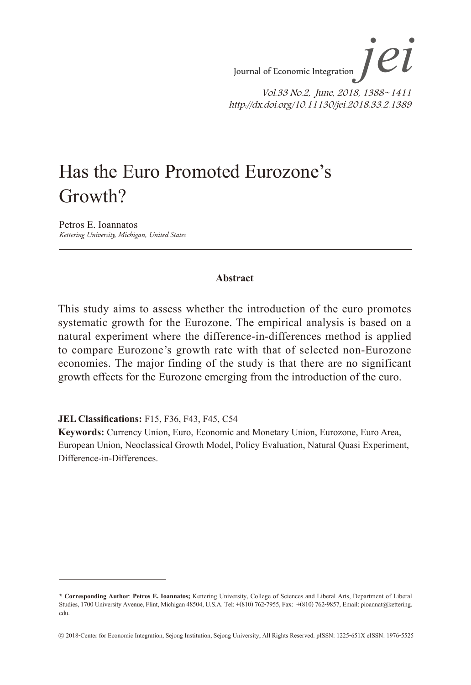Journal of Economic Integration Vol.33 No.2, June, 2018, 1388~1411 http://dx.doi.org/10.11130/jei.2018.33.2.1389 *jei*

# Has the Euro Promoted Eurozone's Growth?

Petros E. Ioannatos *Kettering University, Michigan, United States*

#### **Abstract**

This study aims to assess whether the introduction of the euro promotes systematic growth for the Eurozone. The empirical analysis is based on a natural experiment where the difference-in-differences method is applied to compare Eurozone's growth rate with that of selected non-Eurozone economies. The major finding of the study is that there are no significant growth effects for the Eurozone emerging from the introduction of the euro.

**JEL Classifications:** F15, F36, F43, F45, C54

**Keywords:** Currency Union, Euro, Economic and Monetary Union, Eurozone, Euro Area, European Union, Neoclassical Growth Model, Policy Evaluation, Natural Quasi Experiment, Difference-in-Differences.

**<sup>\*</sup> Corresponding Author**: **Petros E. Ioannatos;** Kettering University, College of Sciences and Liberal Arts, Department of Liberal Studies, 1700 University Avenue, Flint, Michigan 48504, U.S.A. Tel: +(810) 762-7955, Fax: +(810) 762-9857, Email: pioannat@kettering. edu.

<sup>ⓒ</sup> 2018-Center for Economic Integration, Sejong Institution, Sejong University, All Rights Reserved. pISSN: 1225-651X eISSN: 1976-5525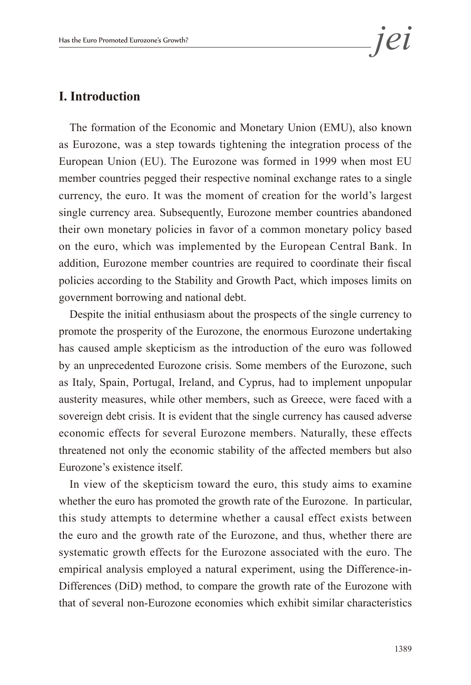#### **I. Introduction**

The formation of the Economic and Monetary Union (EMU), also known as Eurozone, was a step towards tightening the integration process of the European Union (EU). The Eurozone was formed in 1999 when most EU member countries pegged their respective nominal exchange rates to a single currency, the euro. It was the moment of creation for the world's largest single currency area. Subsequently, Eurozone member countries abandoned their own monetary policies in favor of a common monetary policy based on the euro, which was implemented by the European Central Bank. In addition, Eurozone member countries are required to coordinate their fiscal policies according to the Stability and Growth Pact, which imposes limits on government borrowing and national debt.

Despite the initial enthusiasm about the prospects of the single currency to promote the prosperity of the Eurozone, the enormous Eurozone undertaking has caused ample skepticism as the introduction of the euro was followed by an unprecedented Eurozone crisis. Some members of the Eurozone, such as Italy, Spain, Portugal, Ireland, and Cyprus, had to implement unpopular austerity measures, while other members, such as Greece, were faced with a sovereign debt crisis. It is evident that the single currency has caused adverse economic effects for several Eurozone members. Naturally, these effects threatened not only the economic stability of the affected members but also Eurozone's existence itself.

In view of the skepticism toward the euro, this study aims to examine whether the euro has promoted the growth rate of the Eurozone. In particular, this study attempts to determine whether a causal effect exists between the euro and the growth rate of the Eurozone, and thus, whether there are systematic growth effects for the Eurozone associated with the euro. The empirical analysis employed a natural experiment, using the Difference-in-Differences (DiD) method, to compare the growth rate of the Eurozone with that of several non-Eurozone economies which exhibit similar characteristics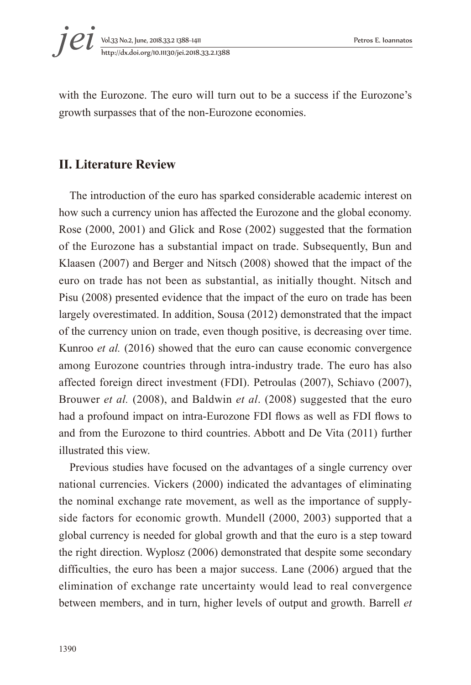with the Eurozone. The euro will turn out to be a success if the Eurozone's growth surpasses that of the non-Eurozone economies.

#### **II. Literature Review**

The introduction of the euro has sparked considerable academic interest on how such a currency union has affected the Eurozone and the global economy. Rose (2000, 2001) and Glick and Rose (2002) suggested that the formation of the Eurozone has a substantial impact on trade. Subsequently, Bun and Klaasen (2007) and Berger and Nitsch (2008) showed that the impact of the euro on trade has not been as substantial, as initially thought. Nitsch and Pisu (2008) presented evidence that the impact of the euro on trade has been largely overestimated. In addition, Sousa (2012) demonstrated that the impact of the currency union on trade, even though positive, is decreasing over time. Kunroo *et al.* (2016) showed that the euro can cause economic convergence among Eurozone countries through intra-industry trade. The euro has also affected foreign direct investment (FDI). Petroulas (2007), Schiavo (2007), Brouwer *et al.* (2008), and Baldwin *et al*. (2008) suggested that the euro had a profound impact on intra-Eurozone FDI flows as well as FDI flows to and from the Eurozone to third countries. Abbott and De Vita (2011) further illustrated this view.

Previous studies have focused on the advantages of a single currency over national currencies. Vickers (2000) indicated the advantages of eliminating the nominal exchange rate movement, as well as the importance of supplyside factors for economic growth. Mundell (2000, 2003) supported that a global currency is needed for global growth and that the euro is a step toward the right direction. Wyplosz (2006) demonstrated that despite some secondary difficulties, the euro has been a major success. Lane (2006) argued that the elimination of exchange rate uncertainty would lead to real convergence between members, and in turn, higher levels of output and growth. Barrell *et*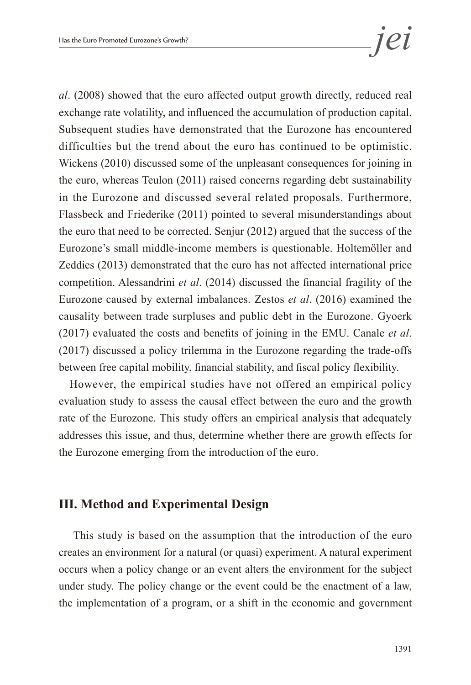*al*. (2008) showed that the euro affected output growth directly, reduced real exchange rate volatility, and influenced the accumulation of production capital. Subsequent studies have demonstrated that the Eurozone has encountered difficulties but the trend about the euro has continued to be optimistic. Wickens (2010) discussed some of the unpleasant consequences for joining in the euro, whereas Teulon (2011) raised concerns regarding debt sustainability in the Eurozone and discussed several related proposals. Furthermore, Flassbeck and Friederike (2011) pointed to several misunderstandings about the euro that need to be corrected. Senjur (2012) argued that the success of the Eurozone's small middle-income members is questionable. Holtemöller and Zeddies (2013) demonstrated that the euro has not affected international price competition. Alessandrini *et al*. (2014) discussed the financial fragility of the Eurozone caused by external imbalances. Zestos *et al*. (2016) examined the causality between trade surpluses and public debt in the Eurozone. Gyoerk (2017) evaluated the costs and benefits of joining in the EMU. Canale *et al*. (2017) discussed a policy trilemma in the Eurozone regarding the trade-offs between free capital mobility, financial stability, and fiscal policy flexibility.

However, the empirical studies have not offered an empirical policy evaluation study to assess the causal effect between the euro and the growth rate of the Eurozone. This study offers an empirical analysis that adequately addresses this issue, and thus, determine whether there are growth effects for the Eurozone emerging from the introduction of the euro.

#### **III. Method and Experimental Design**

 This study is based on the assumption that the introduction of the euro creates an environment for a natural (or quasi) experiment. A natural experiment occurs when a policy change or an event alters the environment for the subject under study. The policy change or the event could be the enactment of a law, the implementation of a program, or a shift in the economic and government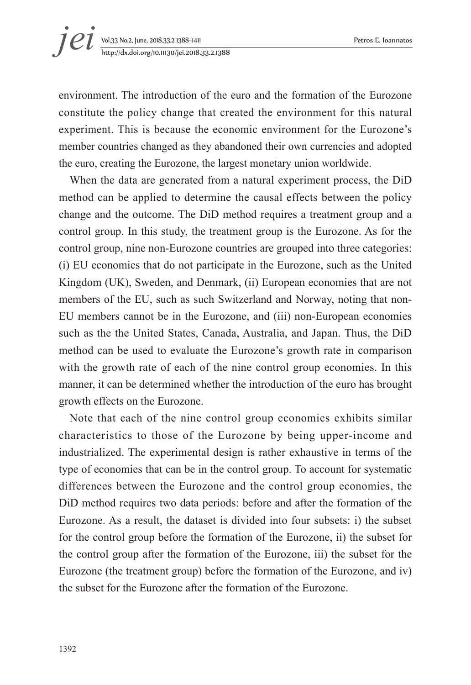environment. The introduction of the euro and the formation of the Eurozone constitute the policy change that created the environment for this natural experiment. This is because the economic environment for the Eurozone's member countries changed as they abandoned their own currencies and adopted the euro, creating the Eurozone, the largest monetary union worldwide.

When the data are generated from a natural experiment process, the DiD method can be applied to determine the causal effects between the policy change and the outcome. The DiD method requires a treatment group and a control group. In this study, the treatment group is the Eurozone. As for the control group, nine non-Eurozone countries are grouped into three categories: (i) EU economies that do not participate in the Eurozone, such as the United Kingdom (UK), Sweden, and Denmark, (ii) European economies that are not members of the EU, such as such Switzerland and Norway, noting that non-EU members cannot be in the Eurozone, and (iii) non-European economies such as the the United States, Canada, Australia, and Japan. Thus, the DiD method can be used to evaluate the Eurozone's growth rate in comparison with the growth rate of each of the nine control group economies. In this manner, it can be determined whether the introduction of the euro has brought growth effects on the Eurozone.

Note that each of the nine control group economies exhibits similar characteristics to those of the Eurozone by being upper-income and industrialized. The experimental design is rather exhaustive in terms of the type of economies that can be in the control group. To account for systematic differences between the Eurozone and the control group economies, the DiD method requires two data periods: before and after the formation of the Eurozone. As a result, the dataset is divided into four subsets: i) the subset for the control group before the formation of the Eurozone, ii) the subset for the control group after the formation of the Eurozone, iii) the subset for the Eurozone (the treatment group) before the formation of the Eurozone, and iv) the subset for the Eurozone after the formation of the Eurozone.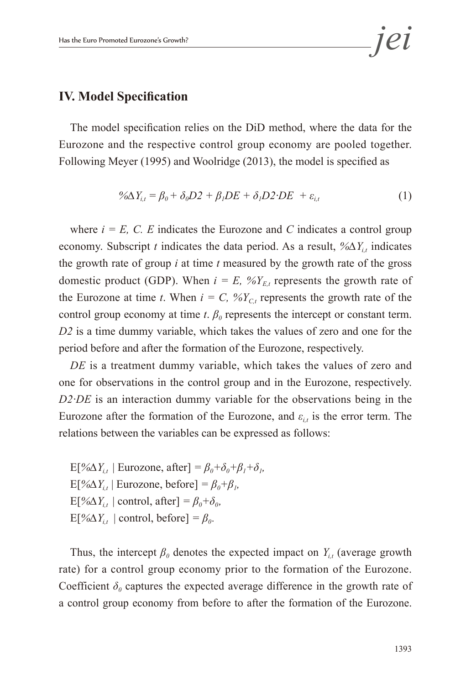#### **IV. Model Specification**

The model specification relies on the DiD method, where the data for the Eurozone and the respective control group economy are pooled together. Following Meyer (1995) and Woolridge (2013), the model is specified as

$$
\% \Delta Y_{i,t} = \beta_0 + \delta_0 D2 + \beta_1 DE + \delta_1 D2 \cdot DE + \varepsilon_{i,t} \tag{1}
$$

where  $i = E$ , C. *E* indicates the Eurozone and *C* indicates a control group economy. Subscript *t* indicates the data period. As a result,  $\frac{\partial \Delta Y_i}{\partial t}$  indicates the growth rate of group *i* at time *t* measured by the growth rate of the gross domestic product (GDP). When  $i = E$ ,  $\mathcal{C}Y_{E,t}$  represents the growth rate of the Eurozone at time *t*. When  $i = C$ ,  $\mathcal{N}Y_{C,t}$  represents the growth rate of the control group economy at time *t*.  $\beta_0$  represents the intercept or constant term. *D2* is a time dummy variable, which takes the values of zero and one for the period before and after the formation of the Eurozone, respectively.

*DE* is a treatment dummy variable, which takes the values of zero and one for observations in the control group and in the Eurozone, respectively. *D2·DE* is an interaction dummy variable for the observations being in the Eurozone after the formation of the Eurozone, and  $\varepsilon$ <sub>*it*</sub> is the error term. The relations between the variables can be expressed as follows:

 $E[\% \Delta Y_i]$  Eurozone, after] =  $\beta_0 + \delta_0 + \beta_1 + \delta_1$ ,  $E[\% \Delta Y_i]$  Eurozone, before $] = \beta_0 + \beta_1$ ,  $E[\% \Delta Y_{i,t} | \text{control}, \text{after}] = \beta_0 + \delta_0$  $E[\% \Delta Y_{i,t} \mid \text{control}, \text{before}] = \beta_0.$ 

Thus, the intercept  $\beta_0$  denotes the expected impact on  $Y_{i,t}$  (average growth rate) for a control group economy prior to the formation of the Eurozone. Coefficient  $\delta_\theta$  captures the expected average difference in the growth rate of a control group economy from before to after the formation of the Eurozone.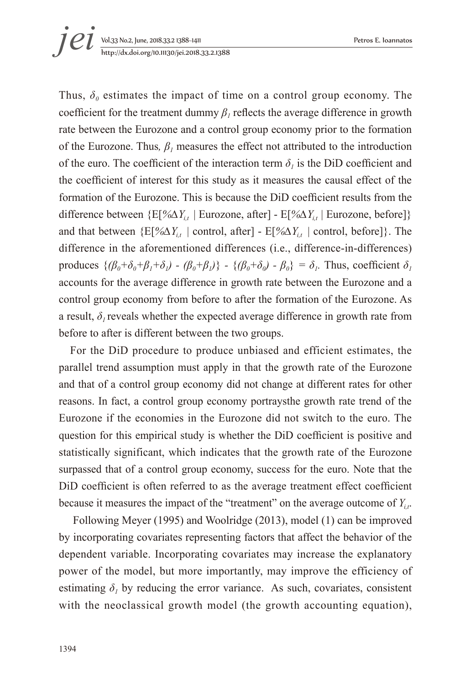Thus,  $\delta_{\theta}$  estimates the impact of time on a control group economy. The coefficient for the treatment dummy  $\beta$ <sup>*l*</sup> reflects the average difference in growth rate between the Eurozone and a control group economy prior to the formation of the Eurozone. Thus*, β1* measures the effect not attributed to the introduction of the euro. The coefficient of the interaction term  $\delta$ <sup>*i*</sup> is the DiD coefficient and the coefficient of interest for this study as it measures the causal effect of the formation of the Eurozone. This is because the DiD coefficient results from the difference between {E[*%∆Yi,t* | Eurozone, after] - E[*%∆Yi,t* | Eurozone, before]} and that between  $\{E[\% \Delta Y_i|\)$  control, after] -  $E[\% \Delta Y_i|\)$  control, before]}. The difference in the aforementioned differences (i.e., difference-in-differences) produces  $\{\beta_0 + \delta_0 + \beta_1 + \delta_1\}$  -  $(\beta_0 + \beta_1)\}$  -  $\{\beta_0 + \delta_0\}$  -  $\beta_0\} = \delta_1$ . Thus, coefficient  $\delta_1$ accounts for the average difference in growth rate between the Eurozone and a control group economy from before to after the formation of the Eurozone. As a result,  $\delta$ <sub>*l*</sub> reveals whether the expected average difference in growth rate from before to after is different between the two groups.

For the DiD procedure to produce unbiased and efficient estimates, the parallel trend assumption must apply in that the growth rate of the Eurozone and that of a control group economy did not change at different rates for other reasons. In fact, a control group economy portraysthe growth rate trend of the Eurozone if the economies in the Eurozone did not switch to the euro. The question for this empirical study is whether the DiD coefficient is positive and statistically significant, which indicates that the growth rate of the Eurozone surpassed that of a control group economy, success for the euro. Note that the DiD coefficient is often referred to as the average treatment effect coefficient because it measures the impact of the "treatment" on the average outcome of  $Y_i$ .

 Following Meyer (1995) and Woolridge (2013), model (1) can be improved by incorporating covariates representing factors that affect the behavior of the dependent variable. Incorporating covariates may increase the explanatory power of the model, but more importantly, may improve the efficiency of estimating  $\delta$ <sup>*l*</sup> by reducing the error variance. As such, covariates, consistent with the neoclassical growth model (the growth accounting equation),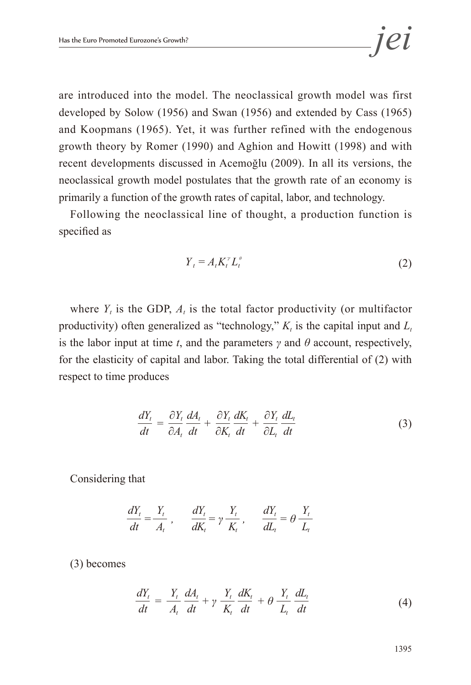are introduced into the model. The neoclassical growth model was first developed by Solow (1956) and Swan (1956) and extended by Cass (1965) and Koopmans (1965). Yet, it was further refined with the endogenous growth theory by Romer (1990) and Aghion and Howitt (1998) and with recent developments discussed in Acemoğlu (2009). In all its versions, the neoclassical growth model postulates that the growth rate of an economy is primarily a function of the growth rates of capital, labor, and technology.

Following the neoclassical line of thought, a production function is specified as

$$
Y_t = A_t K_t^{\nu} L_t^{\theta} \tag{2}
$$

where  $Y_t$  is the GDP,  $A_t$  is the total factor productivity (or multifactor productivity) often generalized as "technology,"  $K_t$  is the capital input and  $L_t$ is the labor input at time *t*, and the parameters  $\gamma$  and  $\theta$  account, respectively, for the elasticity of capital and labor. Taking the total differential of (2) with respect to time produces

$$
\frac{dY_t}{dt} = \frac{\partial Y_t}{\partial A_t} \frac{dA_t}{dt} + \frac{\partial Y_t}{\partial K_t} \frac{dK_t}{dt} + \frac{\partial Y_t}{\partial L_t} \frac{dL_t}{dt}
$$
(3)

Considering that

$$
\frac{dY_t}{dt} = \frac{Y_t}{A_t}, \qquad \frac{dY_t}{dK_t} = \gamma \frac{Y_t}{K_t}, \qquad \frac{dY_t}{dL_t} = \theta \frac{Y_t}{L_t}
$$

(3) becomes

$$
\frac{dY_t}{dt} = \frac{Y_t}{A_t} \frac{dA_t}{dt} + \gamma \frac{Y_t}{K_t} \frac{dK_t}{dt} + \theta \frac{Y_t}{L_t} \frac{dL_t}{dt}
$$
(4)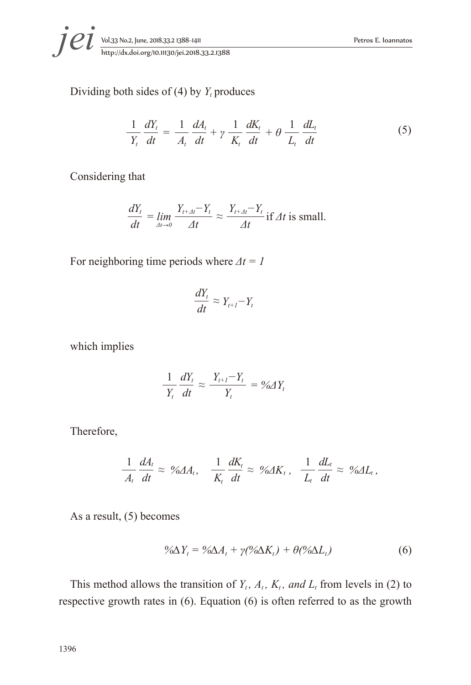*i et yol.33 No.2, June, 2018.33.2 1388-1411*<br>http://dx.doi.org/10.11130/jei.2018.33.2.1388

Dividing both sides of (4) by  $Y_t$  produces

$$
\frac{1}{Y_t}\frac{dY_t}{dt} = \frac{1}{A_t}\frac{dA_t}{dt} + \gamma \frac{1}{K_t}\frac{dK_t}{dt} + \theta \frac{1}{L_t}\frac{dL_t}{dt}
$$
(5)

Considering that

$$
\frac{dY_t}{dt} = \lim_{\Delta t \to 0} \frac{Y_{t+\Delta t} - Y_t}{\Delta t} \approx \frac{Y_{t+\Delta t} - Y_t}{\Delta t}
$$
 if  $\Delta t$  is small.

For neighboring time periods where  $\Delta t = I$ 

$$
\frac{dY_t}{dt} \approx Y_{t+1} - Y_t
$$

which implies

$$
\frac{1}{Y_t} \frac{dY_t}{dt} \approx \frac{Y_{t+1} - Y_t}{Y_t} = \% \Delta Y_t
$$

Therefore,

$$
\frac{1}{A_t}\frac{dA_t}{dt}\approx 96A A_t, \quad \frac{1}{K_t}\frac{dK_t}{dt}\approx 96A K_t, \quad \frac{1}{L_t}\frac{dL_t}{dt}\approx 96A L_t,
$$

As a result, (5) becomes

$$
\% \Delta Y_t = \% \Delta A_t + \gamma (\% \Delta K_t) + \theta (\% \Delta L_t) \tag{6}
$$

This method allows the transition of  $Y_t$ ,  $A_t$ ,  $K_t$ , and  $L_t$  from levels in (2) to respective growth rates in (6). Equation (6) is often referred to as the growth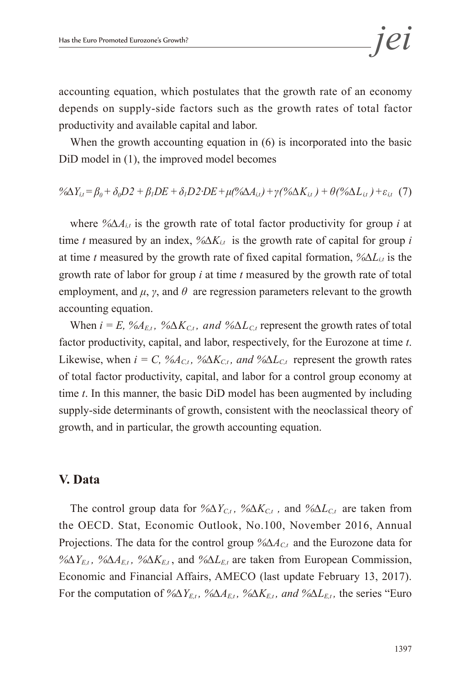accounting equation, which postulates that the growth rate of an economy depends on supply-side factors such as the growth rates of total factor productivity and available capital and labor.

When the growth accounting equation in  $(6)$  is incorporated into the basic DiD model in (1), the improved model becomes

$$
\% \Delta Y_{it} = \beta_0 + \delta_0 D2 + \beta_1 DE + \delta_1 D2 \cdot DE + \mu (\% \Delta A_{it}) + \gamma (\% \Delta K_{it}) + \theta (\% \Delta L_{it}) + \varepsilon_{it} (7)
$$

where *%∆Ai,t* is the growth rate of total factor productivity for group *i* at time *t* measured by an index, *%∆Ki,t* is the growth rate of capital for group *i* at time *t* measured by the growth rate of fixed capital formation, *%∆Li,t* is the growth rate of labor for group *i* at time *t* measured by the growth rate of total employment, and  $\mu$ ,  $\gamma$ , and  $\theta$  are regression parameters relevant to the growth accounting equation.

When  $i = E$ , % $A_{E,t}$ , % $\Delta K_{C,t}$ , and % $\Delta L_{C,t}$  represent the growth rates of total factor productivity, capital, and labor, respectively, for the Eurozone at time *t*. Likewise, when  $i = C$ , % $A_{C,t}$ , % $\Delta K_{C,t}$ , and % $\Delta L_{C,t}$  represent the growth rates of total factor productivity, capital, and labor for a control group economy at time *t*. In this manner, the basic DiD model has been augmented by including supply-side determinants of growth, consistent with the neoclassical theory of growth, and in particular, the growth accounting equation.

#### **V. Data**

The control group data for *%∆YC,t , %∆KC,t ,* and *%∆LC,t* are taken from the OECD. Stat, Economic Outlook, No.100, November 2016, Annual Projections. The data for the control group *%∆AC,t* and the Eurozone data for *%∆YE,t , %∆AE,t , %∆KE,t* , and *%∆LE,t* are taken from European Commission, Economic and Financial Affairs, AMECO (last update February 13, 2017). For the computation of *%∆YE,t , %∆AE,t , %∆KE,t , and %∆LE,t ,* the series "Euro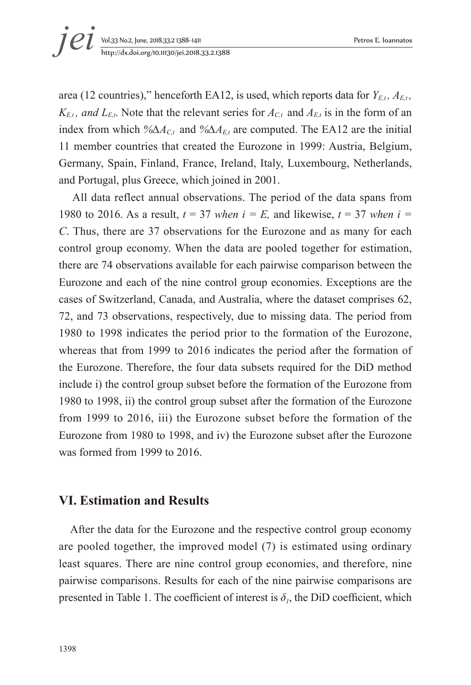area (12 countries)," henceforth EA12, is used, which reports data for  $Y_{E,t}$ ,  $A_{E,t}$ ,  $K_{E,t}$ , and  $L_{E,t}$ . Note that the relevant series for  $A_{C,t}$  and  $A_{E,t}$  is in the form of an index from which *%∆AC,t* and *%∆AE,t* are computed. The EA12 are the initial 11 member countries that created the Eurozone in 1999: Austria, Belgium, Germany, Spain, Finland, France, Ireland, Italy, Luxembourg, Netherlands, and Portugal, plus Greece, which joined in 2001.

All data reflect annual observations. The period of the data spans from 1980 to 2016. As a result,  $t = 37$  when  $i = E$ , and likewise,  $t = 37$  when  $i =$ *C*. Thus, there are 37 observations for the Eurozone and as many for each control group economy. When the data are pooled together for estimation, there are 74 observations available for each pairwise comparison between the Eurozone and each of the nine control group economies. Exceptions are the cases of Switzerland, Canada, and Australia, where the dataset comprises 62, 72, and 73 observations, respectively, due to missing data. The period from 1980 to 1998 indicates the period prior to the formation of the Eurozone, whereas that from 1999 to 2016 indicates the period after the formation of the Eurozone. Therefore, the four data subsets required for the DiD method include i) the control group subset before the formation of the Eurozone from 1980 to 1998, ii) the control group subset after the formation of the Eurozone from 1999 to 2016, iii) the Eurozone subset before the formation of the Eurozone from 1980 to 1998, and iv) the Eurozone subset after the Eurozone was formed from 1999 to 2016.

#### **VI. Estimation and Results**

After the data for the Eurozone and the respective control group economy are pooled together, the improved model (7) is estimated using ordinary least squares. There are nine control group economies, and therefore, nine pairwise comparisons. Results for each of the nine pairwise comparisons are presented in Table 1. The coefficient of interest is  $\delta_l$ , the DiD coefficient, which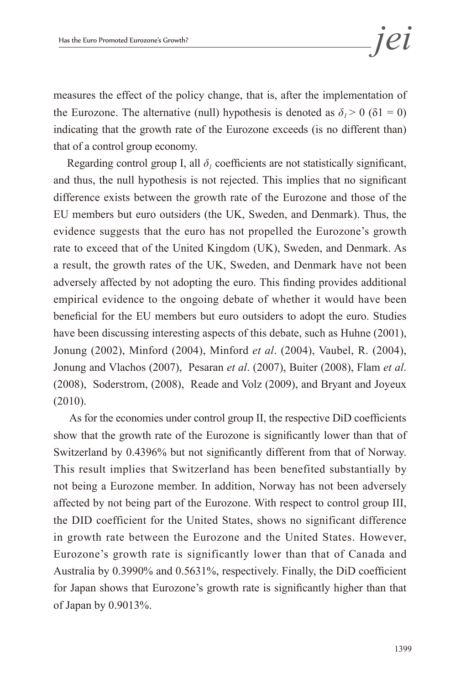measures the effect of the policy change, that is, after the implementation of the Eurozone. The alternative (null) hypothesis is denoted as  $\delta_1 > 0$  ( $\delta_1 = 0$ ) indicating that the growth rate of the Eurozone exceeds (is no different than) that of a control group economy.

Regarding control group I, all  $\delta$ <sub>*l*</sub> coefficients are not statistically significant, and thus, the null hypothesis is not rejected. This implies that no significant difference exists between the growth rate of the Eurozone and those of the EU members but euro outsiders (the UK, Sweden, and Denmark). Thus, the evidence suggests that the euro has not propelled the Eurozone's growth rate to exceed that of the United Kingdom (UK), Sweden, and Denmark. As a result, the growth rates of the UK, Sweden, and Denmark have not been adversely affected by not adopting the euro. This finding provides additional empirical evidence to the ongoing debate of whether it would have been beneficial for the EU members but euro outsiders to adopt the euro. Studies have been discussing interesting aspects of this debate, such as Huhne (2001), Jonung (2002), Minford (2004), Minford *et al*. (2004), Vaubel, R. (2004), Jonung and Vlachos (2007), Pesaran *et al*. (2007), Buiter (2008), Flam *et al*. (2008), Soderstrom, (2008), Reade and Volz (2009), and Bryant and Joyeux (2010).

 As for the economies under control group II, the respective DiD coefficients show that the growth rate of the Eurozone is significantly lower than that of Switzerland by 0.4396% but not significantly different from that of Norway. This result implies that Switzerland has been benefited substantially by not being a Eurozone member. In addition, Norway has not been adversely affected by not being part of the Eurozone. With respect to control group III, the DID coefficient for the United States, shows no significant difference in growth rate between the Eurozone and the United States. However, Eurozone's growth rate is significantly lower than that of Canada and Australia by 0.3990% and 0.5631%, respectively. Finally, the DiD coefficient for Japan shows that Eurozone's growth rate is significantly higher than that of Japan by 0.9013%.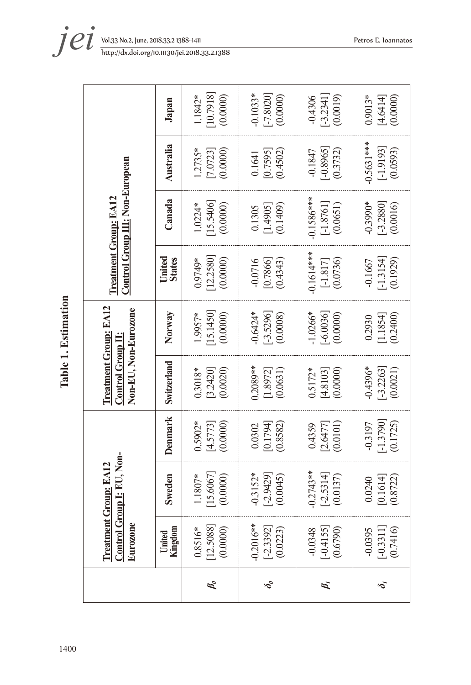|                                       | <b>Control Grou</b><br>Eurozone        | pl: EU, Non-<br><b>Treatment Group: EA12</b> |                                    | <b>Treatment Group: EA12</b><br>Non-EU, Non-Eurozone<br>$Control$ Group $I$ |                                       |                                        | Control Group III: Non-European<br><b>Treatment Group: EA12</b> |                                         |                                       |
|---------------------------------------|----------------------------------------|----------------------------------------------|------------------------------------|-----------------------------------------------------------------------------|---------------------------------------|----------------------------------------|-----------------------------------------------------------------|-----------------------------------------|---------------------------------------|
|                                       | United<br>Kingdom                      | <b>Sweden</b>                                | Denmark                            | Switzerland                                                                 | Norway                                | United<br><b>States</b>                | Canada                                                          | Australia                               | Japan                                 |
| $\ell_{\scriptscriptstyle{\theta}}$   | $[12.5088]$<br>(0.0000)<br>$0.8516*$   | 15.6067<br>(0.0000)<br>$1.1807*$             | $0.5902*$<br>(0.0000)<br>[4.5773]  | $0.3018*$<br>[3.2420]<br>(0.0020)                                           | [15.1450]<br>(0.0000)<br>1.9957*      | [12.2580]<br>(0.0000)<br>0.9749*       | [15.5406]<br>(0.0000)<br>1.0224*                                | $1.2735*$<br>$[7.0723]$<br>(0.0000)     | [10.7918]<br>(0.0000)<br>$1.1842*$    |
| $\delta_{\scriptscriptstyle{\theta}}$ | $-0.2016**$<br>[-2.3392]<br>[0.0223)   | $-0.3152*$<br>$-2.9429$<br>(0.0045)          | [0.1794]<br>(0.8582)<br>0.0302     | $0.2089**$<br>(0.0631)<br>[1.8972]                                          | $-0.6424*$<br>$[-3.5296]$<br>(0.0008) | $-0.0716$<br>[0.7866]<br>(0.4343)      | (0.1409)<br>[1.4905]<br>0.1305                                  | (0.4502)<br>[0.7595]<br>0.1641          | $-0.1033*$<br>$[-7.8020]$<br>(0.0000) |
| $\ell_1$                              | $-0.0348$<br>$[-0.4155]$<br>$(0.6790)$ | $-0.2743**$<br>$-2.5314$<br>(0.0137)         | (0.0101)<br>[2.6477]<br>0.4359     | (0.0000)<br>[4.8103]<br>$0.5172*$                                           | $-1.0266*$<br>(0.0000)<br>$[-6.0036]$ | $-0.1614***$<br>(0.0736)<br>$[-1.817]$ | $-0.1586***$<br>$[-1.8761]$<br>(0.0651)                         | $-0.8965$<br>(0.3732)<br>$-0.1847$      | $-3.2341$<br>(0.0019)<br>$-0.4306$    |
| $\delta_{\text{r}}$                   | $-0.0395$<br>$[-0.3311]$<br>$(0.7416)$ | [0.1614]<br>(0.8722)<br>0.0240               | $-1.3790$<br>(0.1725)<br>$-0.3197$ | $[-3.2263]$<br>$-0.4396*$<br>(0.0021)                                       | [1.1854]<br>(0.2400)<br>0.2930        | $[-1.3154]$<br>(0.1929)<br>$-0.1667$   | $-0.3990*$<br>$-3.2880$<br>(0.0016)                             | $-0.5631***$<br>$[-1.9193]$<br>(0.0593) | (0.0000)<br>[4.6414]<br>$0.9013*$     |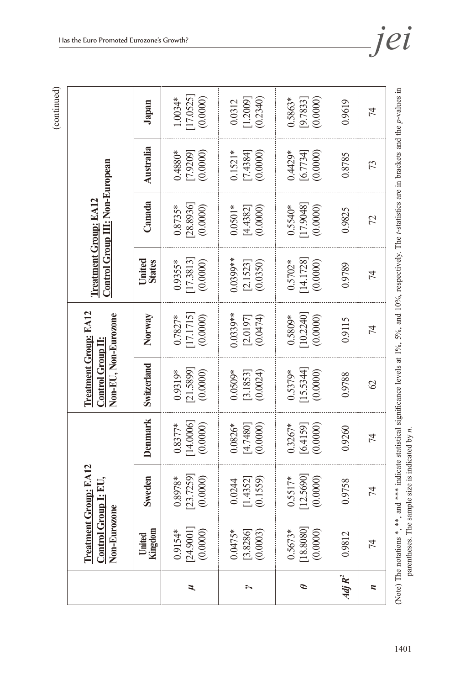|                    | <b>Control Grou</b><br>Non-Eurozon    | <b>Treatment Group: EA12</b><br>pl: EU, |                                    | <b>Treatment Group: EA12</b><br>Non-EU, Non-Eurozone<br>$Control$ Group $H:$                                                                                        |                                  |                                    | <b>Control Group III: Non-European</b><br><b>Treatment Group: EA12</b> |                                   |                                   |
|--------------------|---------------------------------------|-----------------------------------------|------------------------------------|---------------------------------------------------------------------------------------------------------------------------------------------------------------------|----------------------------------|------------------------------------|------------------------------------------------------------------------|-----------------------------------|-----------------------------------|
|                    | United<br>Kingdom                     | Sweden                                  | Denmark                            | Switzerland                                                                                                                                                         | Norway                           | United<br><b>States</b>            | Canada                                                                 | Australia                         | Japan                             |
| ユ                  | [24.9001]<br>(0.0000)<br>0.9154*      | [23.7259]<br>(0.0000)<br>$0.8978*$      | [14.0006]<br>$0.8377*$<br>(0.0000) | [21.5899]<br>(0.0000)<br>$0.9319*$                                                                                                                                  | 17.1715<br>(0.0000)<br>$0.7827*$ | [17.3813]<br>(0.0000)<br>$0.9355*$ | [28.8936]<br>(0.0000)<br>$0.8735*$                                     | $0.4880*$<br>(0.0000)<br>[7.9209] | 17.0525]<br>(0.0000)<br>1.0034*   |
| ∼                  | $0.0475*$<br>$[3.8286]$<br>$(0.0003)$ | (0.1559)<br>[1.4352]<br>0.0244          | $0.0826*$<br>[4.7480]<br>(0.0000)  | [3.1853]<br>(0.0024)<br>$0.0509*$                                                                                                                                   | 0.0339**<br>(0.0474)<br>[2.0197] | 0.0399**<br>(0.0350)<br>[2.1523]   | $0.0501*$<br>(0.0000)<br>[4.4382]                                      | $0.1521*$<br>(0.0000)<br>[7.4384] | (0.2340)<br>[1.2009]<br>0.0312    |
| P                  | [18.8080]<br>(0.0000)<br>$0.5673*$    | [12.5690]<br>(0.0000)<br>$0.5517*$      | $0.3267*$<br>[6.4159]<br>(0.0000)  | 15.5344]<br>(0.0000)<br>$0.5379*$                                                                                                                                   | 10.2240<br>(0.0000)<br>$0.5809*$ | [14.1728]<br>(0.0000)<br>$0.5702*$ | 17.9048]<br>$0.5540*$<br>(0.0000)                                      | $0.4429*$<br>(0.0000)<br>6.7734   | (0.0000)<br>$0.5863*$<br>[9.7833] |
| Adj R <sup>2</sup> | 0.9812                                | 0.9758                                  | 0.9260                             | 0.9788                                                                                                                                                              | 0.9115                           | 0.9789                             | 0.9825                                                                 | 0.8785                            | 0.9619                            |
| $\boldsymbol{z}$   | 74                                    | 74                                      | 74                                 | $\mathcal{S}$                                                                                                                                                       | 74                               | 74                                 | 72                                                                     | 73                                | 74                                |
|                    |                                       |                                         |                                    | Note) The notations *, **, and **** indicate statistical significance levels at 1%, 5%, and 10%, respectively. The t-statistics are in brackets and the p-values in |                                  |                                    |                                                                        |                                   |                                   |

parentheses. The sample size is indicated by *n*.

parentheses. The sample size is indicated by  $n$ .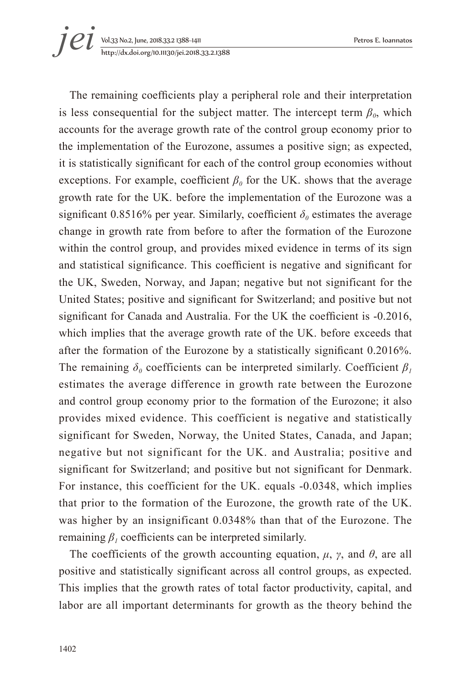The remaining coefficients play a peripheral role and their interpretation is less consequential for the subject matter. The intercept term  $\beta_0$ , which accounts for the average growth rate of the control group economy prior to the implementation of the Eurozone, assumes a positive sign; as expected, it is statistically significant for each of the control group economies without exceptions. For example, coefficient  $\beta_0$  for the UK. shows that the average growth rate for the UK. before the implementation of the Eurozone was a significant 0.8516% per year. Similarly, coefficient  $\delta_0$  estimates the average change in growth rate from before to after the formation of the Eurozone within the control group, and provides mixed evidence in terms of its sign and statistical significance. This coefficient is negative and significant for the UK, Sweden, Norway, and Japan; negative but not significant for the United States; positive and significant for Switzerland; and positive but not significant for Canada and Australia. For the UK the coefficient is -0.2016, which implies that the average growth rate of the UK. before exceeds that after the formation of the Eurozone by a statistically significant 0.2016%. The remaining  $\delta$ <sup>0</sup> coefficients can be interpreted similarly. Coefficient  $\beta$ <sup>*1*</sup> estimates the average difference in growth rate between the Eurozone and control group economy prior to the formation of the Eurozone; it also provides mixed evidence. This coefficient is negative and statistically significant for Sweden, Norway, the United States, Canada, and Japan; negative but not significant for the UK. and Australia; positive and significant for Switzerland; and positive but not significant for Denmark. For instance, this coefficient for the UK. equals -0.0348, which implies that prior to the formation of the Eurozone, the growth rate of the UK. was higher by an insignificant 0.0348% than that of the Eurozone. The remaining  $\beta$ <sup>*l*</sup> coefficients can be interpreted similarly.

The coefficients of the growth accounting equation,  $\mu$ ,  $\gamma$ , and  $\theta$ , are all positive and statistically significant across all control groups, as expected. This implies that the growth rates of total factor productivity, capital, and labor are all important determinants for growth as the theory behind the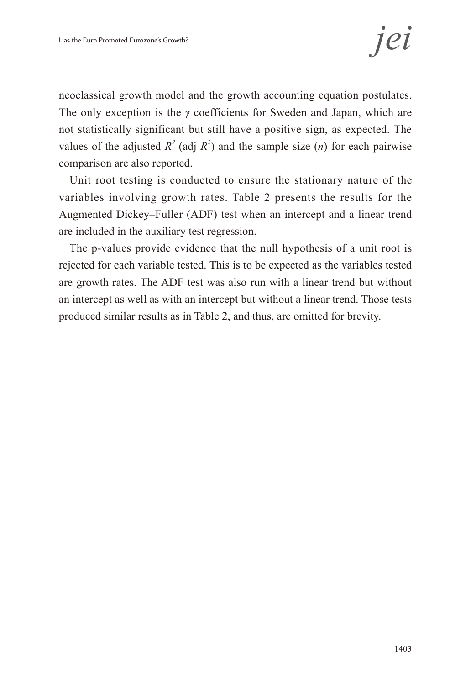neoclassical growth model and the growth accounting equation postulates. The only exception is the *γ* coefficients for Sweden and Japan, which are not statistically significant but still have a positive sign, as expected. The values of the adjusted  $R^2$  (adj  $R^2$ ) and the sample size (*n*) for each pairwise comparison are also reported.

Unit root testing is conducted to ensure the stationary nature of the variables involving growth rates. Table 2 presents the results for the Augmented Dickey–Fuller (ADF) test when an intercept and a linear trend are included in the auxiliary test regression.

The p-values provide evidence that the null hypothesis of a unit root is rejected for each variable tested. This is to be expected as the variables tested are growth rates. The ADF test was also run with a linear trend but without an intercept as well as with an intercept but without a linear trend. Those tests produced similar results as in Table 2, and thus, are omitted for brevity.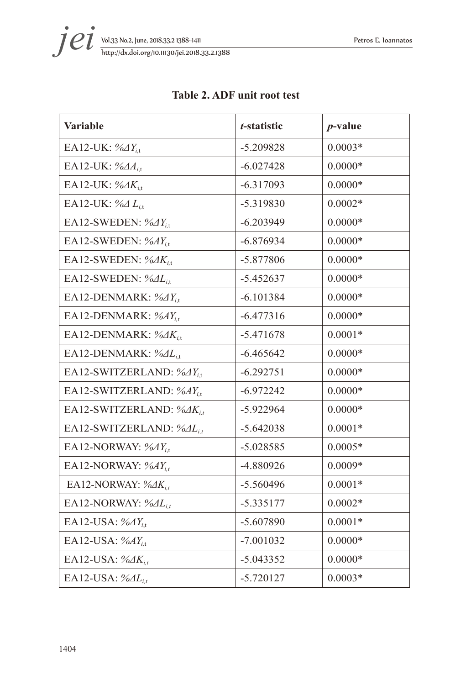# Vol.33 No.2, June, 2018.33.2 1388~1411 Petros E. Ioannatos *i et yol.33 No.2, June, 2018.33.2 1388-1411*<br>http://dx.doi.org/10.11130/jei.2018.33.2.1388

| <b>Variable</b>                                              | t-statistic | $p$ -value |
|--------------------------------------------------------------|-------------|------------|
| EA12-UK: $\mathcal{W}$ AY <sub>it</sub>                      | $-5.209828$ | $0.0003*$  |
| EA12-UK: $%A_{i,t}$                                          | $-6.027428$ | $0.0000*$  |
| EA12-UK: $\% \Delta K_{i}$                                   | $-6.317093$ | $0.0000*$  |
| EA12-UK: $\%$ $\Delta$ $L_{\text{it}}$                       | $-5.319830$ | $0.0002*$  |
| EA12-SWEDEN: $\frac{\%}{\angle Y_{it}}$                      | $-6.203949$ | $0.0000*$  |
| EA12-SWEDEN: $\%AY_{it}$                                     | $-6.876934$ | $0.0000*$  |
| EA12-SWEDEN: $\frac{\%A K_{i}}{\# \}}$                       | $-5.877806$ | $0.0000*$  |
| EA12-SWEDEN: $\frac{\% \Delta L_{i,t}}{\Delta L_{i,t}}$      | $-5.452637$ | $0.0000*$  |
| EA12-DENMARK: $\frac{\%}{I_{it}}$                            | $-6.101384$ | $0.0000*$  |
| EA12-DENMARK: $\%AY_{it}$                                    | $-6.477316$ | $0.0000*$  |
| EA12-DENMARK: $\frac{\%A K_{i}}{\# \}}$                      | $-5.471678$ | $0.0001*$  |
| EA12-DENMARK: $\frac{\partial}{\partial L_{i,t}}$            | $-6.465642$ | $0.0000*$  |
| EA12-SWITZERLAND: $\frac{\%AY_{i}}{\# \sqrt{A^2 + 4}}$       | $-6.292751$ | $0.0000*$  |
| EA12-SWITZERLAND: %AY <sub>it</sub>                          | $-6.972242$ | $0.0000*$  |
| EA12-SWITZERLAND: $\frac{\partial A}{\partial K_{i}}$        | $-5.922964$ | $0.0000*$  |
| EA12-SWITZERLAND: $\frac{\% \Delta L_{i,t}}{\Delta L_{i,t}}$ | $-5.642038$ | $0.0001*$  |
| EA12-NORWAY: $\frac{\%}{4}Y_{i,t}$                           | $-5.028585$ | $0.0005*$  |
| EA12-NORWAY: $\%AY_i$                                        | -4.880926   | $0.0009*$  |
| EA12-NORWAY: $\frac{\partial A}{\partial K_{i,t}}$           | $-5.560496$ | $0.0001*$  |
| EA12-NORWAY: $\frac{\partial}{\partial L_{i,t}}$             | $-5.335177$ | $0.0002*$  |
| EA12-USA: $\frac{\%}{\#1}$                                   | $-5.607890$ | $0.0001*$  |
| EA12-USA: $\%AY_{it}$                                        | $-7.001032$ | $0.0000*$  |
| EA12-USA: $\frac{\%A K_i}{\#}$                               | $-5.043352$ | $0.0000*$  |
| EA12-USA: $\frac{\% \Delta L_{i}}{\Delta L_{i}}$             | $-5.720127$ | $0.0003*$  |

### **Table 2. ADF unit root test**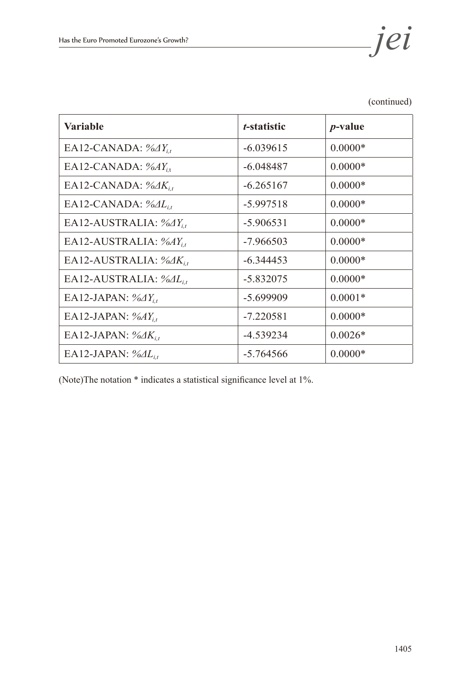| (continued) |  |
|-------------|--|
|-------------|--|

| <b>Variable</b>                                            | <i>t</i> -statistic | $p$ -value |
|------------------------------------------------------------|---------------------|------------|
| EA12-CANADA: $\frac{\%}{\angle Y_i}$                       | $-6.039615$         | $0.0000*$  |
| EA12-CANADA: $\%AY_{i+}$                                   | $-6.048487$         | $0.0000*$  |
| EA12-CANADA: $\frac{\partial A}{\partial K_{i,t}}$         | $-6.265167$         | $0.0000*$  |
| EA12-CANADA: $\frac{\% \Delta L_i}{\Delta L_i}$            | $-5.997518$         | $0.0000*$  |
| EA12-AUSTRALIA: $\frac{\%}{\angle Y_{i}}$                  | $-5.906531$         | $0.0000*$  |
| EA12-AUSTRALIA: $\%AY_{i}$                                 | $-7.966503$         | $0.0000*$  |
| EA12-AUSTRALIA: $\frac{\%A K_{i}}{\# \}}$                  | $-6.344453$         | $0.0000*$  |
| EA12-AUSTRALIA: $\frac{\% \Delta L_{i,t}}{\Delta L_{i,t}}$ | $-5.832075$         | $0.0000*$  |
| EA12-JAPAN: $\frac{\partial}{\partial X_i}$                | $-5.699909$         | $0.0001*$  |
| EA12-JAPAN: $\%AY_{it}$                                    | $-7.220581$         | $0.0000*$  |
| EA12-JAPAN: $\frac{\%A K_{i,t}}{\%A K_{i,t}}$              | -4.539234           | $0.0026*$  |
| EA12-JAPAN: $\frac{\partial}{\partial L_{i}}$              | $-5.764566$         | $0.0000*$  |

(Note)The notation \* indicates a statistical significance level at 1%.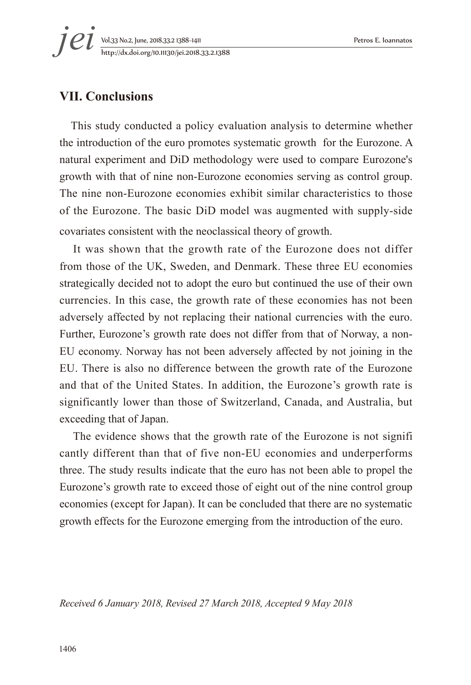### **VII. Conclusions**

This study conducted a policy evaluation analysis to determine whether the introduction of the euro promotes systematic growth for the Eurozone. A natural experiment and DiD methodology were used to compare Eurozone's growth with that of nine non-Eurozone economies serving as control group. The nine non-Eurozone economies exhibit similar characteristics to those of the Eurozone. The basic DiD model was augmented with supply-side covariates consistent with the neoclassical theory of growth.

It was shown that the growth rate of the Eurozone does not differ from those of the UK, Sweden, and Denmark. These three EU economies strategically decided not to adopt the euro but continued the use of their own currencies. In this case, the growth rate of these economies has not been adversely affected by not replacing their national currencies with the euro. Further, Eurozone's growth rate does not differ from that of Norway, a non-EU economy. Norway has not been adversely affected by not joining in the EU. There is also no difference between the growth rate of the Eurozone and that of the United States. In addition, the Eurozone's growth rate is significantly lower than those of Switzerland, Canada, and Australia, but exceeding that of Japan.

The evidence shows that the growth rate of the Eurozone is not signifi cantly different than that of five non-EU economies and underperforms three. The study results indicate that the euro has not been able to propel the Eurozone's growth rate to exceed those of eight out of the nine control group economies (except for Japan). It can be concluded that there are no systematic growth effects for the Eurozone emerging from the introduction of the euro.

*Received 6 January 2018, Revised 27 March 2018, Accepted 9 May 2018*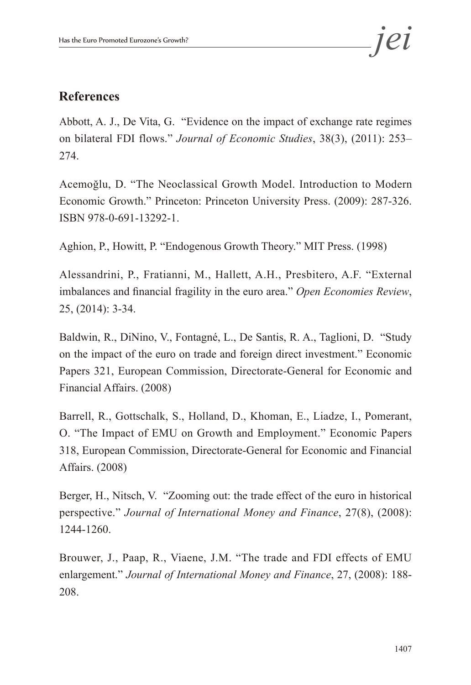## **References**

Abbott, A. J., De Vita, G. "Evidence on the impact of exchange rate regimes on bilateral FDI flows." *Journal of Economic Studies*, 38(3), (2011): 253– 274.

Acemoğlu, D. "The Neoclassical Growth Model. Introduction to Modern Economic Growth." Princeton: Princeton University Press. (2009): 287-326. ISBN 978-0-691-13292-1.

Aghion, P., Howitt, P. "Endogenous Growth Theory." MIT Press. (1998)

Alessandrini, P., Fratianni, M., Hallett, A.H., Presbitero, A.F. "External imbalances and financial fragility in the euro area." *Open Economies Review*, 25, (2014): 3-34.

Baldwin, R., DiNino, V., Fontagné, L., De Santis, R. A., Taglioni, D. "Study on the impact of the euro on trade and foreign direct investment." Economic Papers 321, European Commission, Directorate-General for Economic and Financial Affairs. (2008)

Barrell, R., Gottschalk, S., Holland, D., Khoman, E., Liadze, I., Pomerant, O. "The Impact of EMU on Growth and Employment." Economic Papers 318, European Commission, Directorate-General for Economic and Financial Affairs. (2008)

Berger, H., Nitsch, V. "Zooming out: the trade effect of the euro in historical perspective." *Journal of International Money and Finance*, 27(8), (2008): 1244-1260.

Brouwer, J., Paap, R., Viaene, J.M. "The trade and FDI effects of EMU enlargement." *Journal of International Money and Finance*, 27, (2008): 188- 208.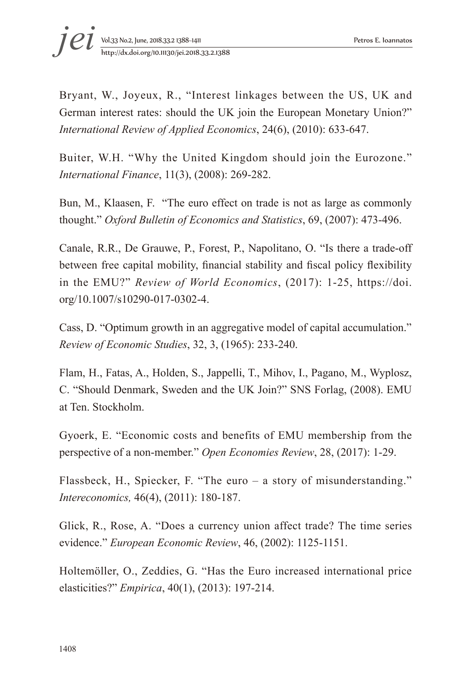Bryant, W., Joyeux, R., "Interest linkages between the US, UK and German interest rates: should the UK join the European Monetary Union?" *International Review of Applied Economics*, 24(6), (2010): 633-647.

Buiter, W.H. "Why the United Kingdom should join the Eurozone." *International Finance*, 11(3), (2008): 269-282.

Bun, M., Klaasen, F. "The euro effect on trade is not as large as commonly thought." *Oxford Bulletin of Economics and Statistics*, 69, (2007): 473-496.

Canale, R.R., De Grauwe, P., Forest, P., Napolitano, O. "Is there a trade-off between free capital mobility, financial stability and fiscal policy flexibility in the EMU?" *Review of World Economics*, (2017): 1-25, https://doi. org/10.1007/s10290-017-0302-4.

Cass, D. "Optimum growth in an aggregative model of capital accumulation." *Review of Economic Studies*, 32, 3, (1965): 233-240.

Flam, H., Fatas, A., Holden, S., Jappelli, T., Mihov, I., Pagano, M., Wyplosz, C. "Should Denmark, Sweden and the UK Join?" SNS Forlag, (2008). EMU at Ten. Stockholm.

Gyoerk, E. "Economic costs and benefits of EMU membership from the perspective of a non-member." *Open Economies Review*, 28, (2017): 1-29.

Flassbeck, H., Spiecker, F. "The euro – a story of misunderstanding." *Intereconomics,* 46(4), (2011): 180-187.

Glick, R., Rose, A. "Does a currency union affect trade? The time series evidence." *European Economic Review*, 46, (2002): 1125-1151.

Holtemöller, O., Zeddies, G. "Has the Euro increased international price elasticities?" *Empirica*, 40(1), (2013): 197-214.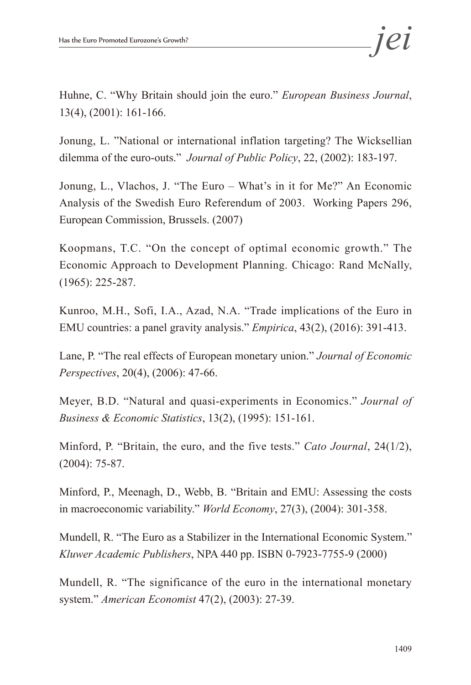Huhne, C. "Why Britain should join the euro." *European Business Journal*, 13(4), (2001): 161-166.

Jonung, L. "National or international inflation targeting? The Wicksellian dilemma of the euro-outs." *Journal of Public Policy*, 22, (2002): 183-197.

Jonung, L., Vlachos, J. "The Euro – What's in it for Me?" An Economic Analysis of the Swedish Euro Referendum of 2003. Working Papers 296, European Commission, Brussels. (2007)

Koopmans, T.C. "On the concept of optimal economic growth." The Economic Approach to Development Planning. Chicago: Rand McNally, (1965): 225-287.

Kunroo, M.H., Sofi, I.A., Azad, N.A. "Trade implications of the Euro in EMU countries: a panel gravity analysis." *Empirica*, 43(2), (2016): 391-413.

Lane, P. "The real effects of European monetary union." *Journal of Economic Perspectives*, 20(4), (2006): 47-66.

Meyer, B.D. "Natural and quasi-experiments in Economics." *Journal of Business & Economic Statistics*, 13(2), (1995): 151-161.

Minford, P. "Britain, the euro, and the five tests." *Cato Journal*, 24(1/2), (2004): 75-87.

Minford, P., Meenagh, D., Webb, B. "Britain and EMU: Assessing the costs in macroeconomic variability." *World Economy*, 27(3), (2004): 301-358.

Mundell, R. "The Euro as a Stabilizer in the International Economic System." *Kluwer Academic Publishers*, NPA 440 pp. ISBN 0-7923-7755-9 (2000)

Mundell, R. "The significance of the euro in the international monetary system." *American Economist* 47(2), (2003): 27-39.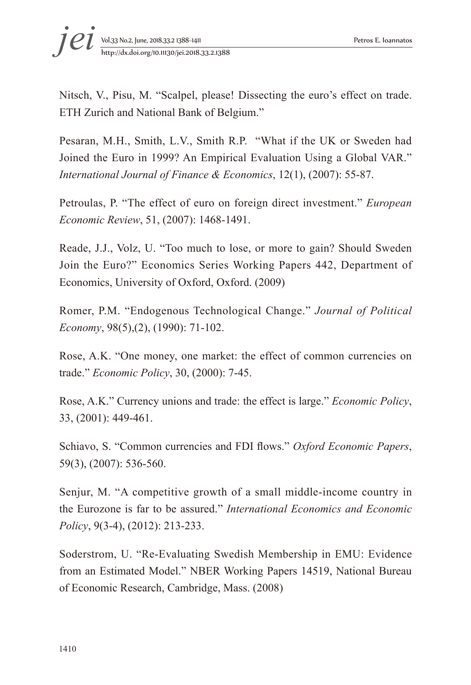Nitsch, V., Pisu, M. "Scalpel, please! Dissecting the euro's effect on trade. ETH Zurich and National Bank of Belgium."

Pesaran, M.H., Smith, L.V., Smith R.P. "What if the UK or Sweden had Joined the Euro in 1999? An Empirical Evaluation Using a Global VAR." *International Journal of Finance & Economics*, 12(1), (2007): 55-87.

Petroulas, P. "The effect of euro on foreign direct investment." *European Economic Review*, 51, (2007): 1468-1491.

Reade, J.J., Volz, U. "Too much to lose, or more to gain? Should Sweden Join the Euro?" Economics Series Working Papers 442, Department of Economics, University of Oxford, Oxford. (2009)

Romer, P.M. "Endogenous Technological Change." *Journal of Political Economy*, 98(5),(2), (1990): 71-102.

Rose, A.K. "One money, one market: the effect of common currencies on trade." *Economic Policy*, 30, (2000): 7-45.

Rose, A.K." Currency unions and trade: the effect is large." *Economic Policy*, 33, (2001): 449-461.

Schiavo, S. "Common currencies and FDI flows." *Oxford Economic Papers*, 59(3), (2007): 536-560.

Senjur, M. "A competitive growth of a small middle-income country in the Eurozone is far to be assured." *International Economics and Economic Policy*, 9(3-4), (2012): 213-233.

Soderstrom, U. "Re-Evaluating Swedish Membership in EMU: Evidence from an Estimated Model." NBER Working Papers 14519, National Bureau of Economic Research, Cambridge, Mass. (2008)